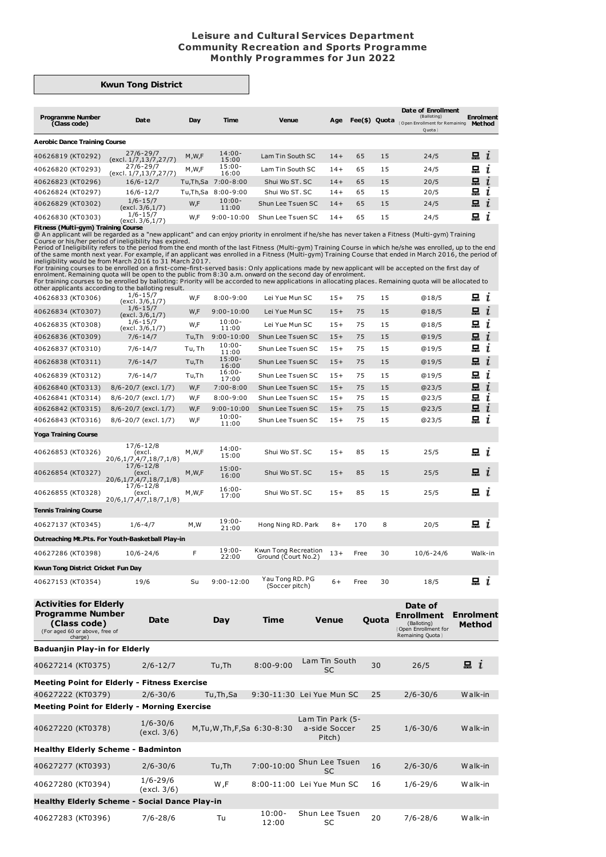## **Leisure and Cultural Services Department Community Recreation and Sports Programme Monthly Programmes for Jun 2022**

## **Kwun Tong District**

| <b>Programme Number</b><br>(Class code) | Date                                   | Day      | <b>Time</b>        | <b>Venue</b>      | Age   | Fee(\$) Quota |    | Date of Enrollment<br>(Balloting)<br>Open Enrollment for Remaining<br>Quota | <b>Enrolment</b><br><b>Method</b> |
|-----------------------------------------|----------------------------------------|----------|--------------------|-------------------|-------|---------------|----|-----------------------------------------------------------------------------|-----------------------------------|
| <b>Aerobic Dance Training Course</b>    |                                        |          |                    |                   |       |               |    |                                                                             |                                   |
| 40626819 (KT0292)                       | $27/6 - 29/7$<br>(excl. 1/7,13/7,27/7) | M, W, F  | $14:00 -$<br>15:00 | Lam Tin South SC  | $14+$ | 65            | 15 | 24/5                                                                        | $\mathbf{a}$ i                    |
| 40626820 (KT0293)                       | $27/6 - 29/7$<br>(excl. 1/7,13/7,27/7) | M,W,F    | $15:00 -$<br>16:00 | Lam Tin South SC  | $14+$ | 65            | 15 | 24/5                                                                        | 묘<br>ı                            |
| 40626823 (KT0296)                       | $16/6 - 12/7$                          | Tu,Th,Sa | $7:00 - 8:00$      | Shui Wo ST, SC    | $14+$ | 65            | 15 | 20/5                                                                        | 묘                                 |
| 40626824 (KT0297)                       | $16/6 - 12/7$                          | Tu,Th,Sa | $8:00 - 9:00$      | Shui Wo ST, SC    | $14+$ | 65            | 15 | 20/5                                                                        | 묘                                 |
| 40626829 (KT0302)                       | $1/6 - 15/7$<br>(excl. 3/6,1/7)        | W,F      | $10:00 -$<br>11:00 | Shun Lee Tsuen SC | $14+$ | 65            | 15 | 24/5                                                                        | 묘<br>$\mathbf{I}$                 |
| 40626830 (KT0303)                       | $1/6 - 15/7$<br>(excl. 3/6,1/7)        | W,F      | $9:00 - 10:00$     | Shun Lee Tsuen SC | $14+$ | 65            | 15 | 24/5                                                                        | 믔                                 |
| Fitness (Multi-gym) Training Course     |                                        |          |                    |                   |       |               |    |                                                                             |                                   |

**Fitness (Multi-gym) Training Course**<br>
@An applicant will be regarded as a "new applicant" and can enjoy priority in enrolment if he/she has never taken a Fitness (Multi-gym) Training<br>
@An applicant will be regarded as a "

| Kwun Tong District Cricket Fun Day<br>40627153 (KT0354)<br><b>Activities for Elderly</b><br><b>Programme Number</b><br>(Class code)<br>(For aged 60 or above, free of<br>charge)<br>Baduanjin Play-in for Elderly | $1/6 - 4/7$<br>M,W<br>F<br>$10/6 - 24/6$<br>19/6<br>Su<br>Date   | $19:00 -$<br>21:00<br>$19:00 -$<br>22:00<br>$9:00 - 12:00$<br>Day | Hong Ning RD. Park<br>Kwun Tong Recreation<br>Ground (Court No.2)<br>Yau Tong RD. PG<br>(Soccer pitch)<br>Time | $8+$<br>$13+$<br>$6+$<br><b>Venue</b> | 8<br>170<br>30<br>Free<br>30<br>Free<br>Quota | 20/5<br>$10/6 - 24/6$<br>18/5<br>Date of<br><b>Enrollment</b><br>(Balloting)<br>Open Enrollment for<br>Remaining Quota } | 昷<br>i<br>Walk-in<br>i<br><b>Enrolment</b><br>Method |
|-------------------------------------------------------------------------------------------------------------------------------------------------------------------------------------------------------------------|------------------------------------------------------------------|-------------------------------------------------------------------|----------------------------------------------------------------------------------------------------------------|---------------------------------------|-----------------------------------------------|--------------------------------------------------------------------------------------------------------------------------|------------------------------------------------------|
|                                                                                                                                                                                                                   |                                                                  |                                                                   |                                                                                                                |                                       |                                               |                                                                                                                          |                                                      |
|                                                                                                                                                                                                                   |                                                                  |                                                                   |                                                                                                                |                                       |                                               |                                                                                                                          |                                                      |
|                                                                                                                                                                                                                   |                                                                  |                                                                   |                                                                                                                |                                       |                                               |                                                                                                                          |                                                      |
|                                                                                                                                                                                                                   |                                                                  |                                                                   |                                                                                                                |                                       |                                               |                                                                                                                          |                                                      |
| 40627286 (KT0398)                                                                                                                                                                                                 |                                                                  |                                                                   |                                                                                                                |                                       |                                               |                                                                                                                          |                                                      |
| Outreaching Mt.Pts. For Youth-Basketball Play-in                                                                                                                                                                  |                                                                  |                                                                   |                                                                                                                |                                       |                                               |                                                                                                                          |                                                      |
| 40627137 (KT0345)                                                                                                                                                                                                 |                                                                  |                                                                   |                                                                                                                |                                       |                                               |                                                                                                                          |                                                      |
| <b>Tennis Training Course</b>                                                                                                                                                                                     |                                                                  |                                                                   |                                                                                                                |                                       |                                               |                                                                                                                          |                                                      |
| 40626855 (KT0328)                                                                                                                                                                                                 | $17/6 - 12/8$<br>M,W,F<br>(excl.<br>20/6,1/7,4/7,18/7,1/8)       | $16:00 -$<br>17:00                                                | Shui Wo ST, SC                                                                                                 | $15+$                                 | 85<br>15                                      | 25/5                                                                                                                     | 묘<br>ī                                               |
| 40626854 (KT0327)                                                                                                                                                                                                 | 17/6-12/8<br>M, W, F<br>(excl.<br>20/6,1/7,4/7,18/7,1/8)         | $15:00 -$<br>16:00                                                | Shui Wo ST. SC                                                                                                 | $15+$                                 | 85<br>15                                      | 25/5                                                                                                                     | 묘<br>$\mathbf{I}$                                    |
| 40626853 (KT0326)                                                                                                                                                                                                 | $17/6 - 12/8$<br>M, W, F<br>(excl.<br>20/6, 1/7, 4/7, 18/7, 1/8) | $14:00 -$<br>15:00                                                | Shui Wo ST, SC                                                                                                 | $15+$                                 | 85<br>15                                      | 25/5                                                                                                                     | 묘<br>$\mathbf{r}$                                    |
| Yoga Training Course                                                                                                                                                                                              |                                                                  |                                                                   |                                                                                                                |                                       |                                               |                                                                                                                          |                                                      |
| 40626843 (KT0316)                                                                                                                                                                                                 | 8/6-20/7 (excl. 1/7)<br>W,F                                      | $10:00 -$<br>11:00                                                | Shun Lee Tsuen SC                                                                                              | $15+$                                 | 75<br>15                                      | @23/5                                                                                                                    | 묘<br>ī                                               |
| 40626842 (KT0315)                                                                                                                                                                                                 | W,F<br>8/6-20/7 (excl. 1/7)                                      | $9:00 - 10:00$                                                    | Shun Lee Tsuen SC                                                                                              | $15+$                                 | 75<br>15                                      | @23/5                                                                                                                    | 묘<br>i                                               |
| 40626841 (KT0314)                                                                                                                                                                                                 | 8/6-20/7 (excl. 1/7)<br>W,F                                      | $8:00 - 9:00$                                                     | Shun Lee Tsuen SC                                                                                              | $15+$                                 | 75<br>15                                      | @23/5                                                                                                                    | 묘<br>ī                                               |
| 40626840 (KT0313)                                                                                                                                                                                                 | 8/6-20/7 (excl. 1/7)<br>W,F                                      | 17:00<br>$7:00-8:00$                                              | Shun Lee Tsuen SC                                                                                              | $15+$                                 | 75<br>15                                      | @23/5                                                                                                                    | 묘<br>$\mathbf{r}$                                    |
| 40626839 (KT0312)                                                                                                                                                                                                 | Tu,Th<br>7/6-14/7                                                | 16:00<br>$16:00 -$                                                | Shun Lee Tsuen SC                                                                                              | $15+$                                 | 75<br>15                                      | @19/5                                                                                                                    | i<br>묘                                               |
| 40626838 (KT0311)                                                                                                                                                                                                 | Tu,Th<br>$7/6 - 14/7$                                            | 11:00<br>$15:00 -$                                                | Shun Lee Tsuen SC                                                                                              | $15+$                                 | 75<br>15                                      | @19/5                                                                                                                    | 묘<br>$\mathbf{I}$                                    |
| 40626837 (KT0310)                                                                                                                                                                                                 | Tu, Th<br>$7/6 - 14/7$                                           | $10:00 -$                                                         | Shun Lee Tsuen SC                                                                                              | $15+$                                 | 75<br>15                                      | @19/5                                                                                                                    | i<br>묘                                               |
| 40626836 (KT0309)                                                                                                                                                                                                 | (excl. 3/6,1/7)<br>$7/6 - 14/7$<br>Tu,Th                         | 11:00<br>$9:00 - 10:00$                                           | Shun Lee Tsuen SC                                                                                              | $15+$                                 | 75<br>15                                      | @19/5                                                                                                                    | 묘<br>i                                               |
| 40626835 (KT0308)                                                                                                                                                                                                 | (excl. 3/6,1/7)<br>$1/6 - 15/7$<br>W,F                           | $10:00 -$                                                         | Lei Yue Mun SC                                                                                                 | $15+$                                 | 15<br>75                                      | @18/5                                                                                                                    | 묘<br>ı                                               |
| 40626834 (KT0307)                                                                                                                                                                                                 | (excl. 3/6,1/7)<br>$1/6 - 15/7$<br>W,F                           | $9:00 - 10:00$                                                    | Lei Yue Mun SC                                                                                                 | $15+$                                 | 75<br>15                                      | @18/5                                                                                                                    | i                                                    |
| other applicants according to the balloting result.<br>40626833 (KT0306)                                                                                                                                          | $1/6 - 15/7$<br>W,F                                              | $8:00 - 9:00$                                                     | Lei Yue Mun SC                                                                                                 | $15+$                                 | 75<br>15                                      | @18/5                                                                                                                    | i<br>묘                                               |

| TUVZIZIT (NUVJZ)                                     | $2/0$ 12/1                  | 14.11                           | 0.00 2.00          | <b>SC</b>                                   | JU | 20/7         | . .     |  |  |  |  |
|------------------------------------------------------|-----------------------------|---------------------------------|--------------------|---------------------------------------------|----|--------------|---------|--|--|--|--|
| <b>Meeting Point for Elderly - Fitness Exercise</b>  |                             |                                 |                    |                                             |    |              |         |  |  |  |  |
| 40627222 (KT0379)                                    | $2/6 - 30/6$                | Tu, Th, Sa                      |                    | 9:30-11:30 Lei Yue Mun SC                   | 25 | $2/6 - 30/6$ | Walk-in |  |  |  |  |
| <b>Meeting Point for Elderly - Morning Exercise</b>  |                             |                                 |                    |                                             |    |              |         |  |  |  |  |
| 40627220 (KT0378)                                    | $1/6 - 30/6$<br>(excl. 3/6) | M, Tu, W, Th, F, Sa 6: 30-8: 30 |                    | Lam Tin Park (5-<br>a-side Soccer<br>Pitch) | 25 | $1/6 - 30/6$ | Walk-in |  |  |  |  |
| <b>Healthy Elderly Scheme - Badminton</b>            |                             |                                 |                    |                                             |    |              |         |  |  |  |  |
| 40627277 (KT0393)                                    | $2/6 - 30/6$                | Tu, Th                          | $7:00 - 10:00$     | Shun Lee Tsuen<br><b>SC</b>                 | 16 | $2/6 - 30/6$ | Walk-in |  |  |  |  |
| 40627280 (KT0394)                                    | $1/6 - 29/6$<br>(excl. 3/6) | W,F                             |                    | 8:00-11:00 Lei Yue Mun SC                   | 16 | $1/6 - 29/6$ | Walk-in |  |  |  |  |
| <b>Healthy Elderly Scheme - Social Dance Play-in</b> |                             |                                 |                    |                                             |    |              |         |  |  |  |  |
| 40627283 (KT0396)                                    | $7/6 - 28/6$                | Tu                              | $10:00 -$<br>12:00 | Shun Lee Tsuen<br>SC                        | 20 | $7/6 - 28/6$ | Walk-in |  |  |  |  |